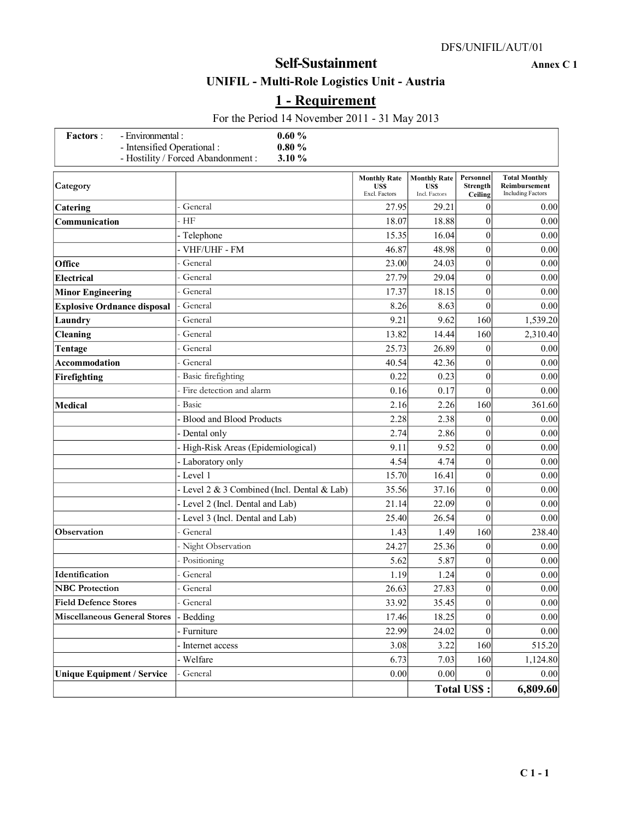# **UNIFIL - Multi-Role Logistics Unit - Austria**

# **1 - Requirement**

For the Period 14 November 2011 - 31 May 2013

| - Environmental :<br><b>Factors:</b><br>- Intensified Operational: | 0.60%<br>$0.80 \%$                           |                                                     |                                                    |                                  |                                                                   |
|--------------------------------------------------------------------|----------------------------------------------|-----------------------------------------------------|----------------------------------------------------|----------------------------------|-------------------------------------------------------------------|
|                                                                    | - Hostility / Forced Abandonment :<br>3.10 % |                                                     |                                                    |                                  |                                                                   |
| Category                                                           |                                              | <b>Monthly Rate</b><br><b>US\$</b><br>Excl. Factors | <b>Monthly Rate</b><br><b>USS</b><br>Incl. Factors | Personnel<br>Strength<br>Ceiling | <b>Total Monthly</b><br>Reimbursement<br><b>Including Factors</b> |
| Catering                                                           | General                                      | 27.95                                               | 29.21                                              | $\mathbf{0}$                     | 0.00                                                              |
| Communication                                                      | HF                                           | 18.07                                               | 18.88                                              | $\mathbf{0}$                     | 0.00                                                              |
|                                                                    | - Telephone                                  | 15.35                                               | 16.04                                              | $\boldsymbol{0}$                 | 0.00                                                              |
|                                                                    | VHF/UHF - FM                                 | 46.87                                               | 48.98                                              | $\overline{0}$                   | 0.00                                                              |
| Office                                                             | General                                      | 23.00                                               | 24.03                                              | $\overline{0}$                   | 0.00                                                              |
| <b>Electrical</b>                                                  | General                                      | 27.79                                               | 29.04                                              | $\overline{0}$                   | 0.00                                                              |
| <b>Minor Engineering</b>                                           | General                                      | 17.37                                               | 18.15                                              | $\overline{0}$                   | 0.00                                                              |
| <b>Explosive Ordnance disposal</b>                                 | General                                      | 8.26                                                | 8.63                                               | $\theta$                         | 0.00                                                              |
| Laundry                                                            | General                                      | 9.21                                                | 9.62                                               | 160                              | 1,539.20                                                          |
| <b>Cleaning</b>                                                    | General                                      | 13.82                                               | 14.44                                              | 160                              | 2,310.40                                                          |
| Tentage                                                            | General                                      | 25.73                                               | 26.89                                              | $\mathbf{0}$                     | 0.00                                                              |
| Accommodation                                                      | General                                      | 40.54                                               | 42.36                                              | $\mathbf{0}$                     | 0.00                                                              |
| Firefighting                                                       | Basic firefighting                           | 0.22                                                | 0.23                                               | $\overline{0}$                   | 0.00                                                              |
|                                                                    | Fire detection and alarm                     | 0.16                                                | 0.17                                               | $\overline{0}$                   | 0.00                                                              |
| <b>Medical</b>                                                     | Basic                                        | 2.16                                                | 2.26                                               | 160                              | 361.60                                                            |
|                                                                    | <b>Blood and Blood Products</b>              | 2.28                                                | 2.38                                               | $\mathbf{0}$                     | 0.00                                                              |
|                                                                    | Dental only                                  | 2.74                                                | 2.86                                               | $\overline{0}$                   | 0.00                                                              |
|                                                                    | High-Risk Areas (Epidemiological)            | 9.11                                                | 9.52                                               | $\boldsymbol{0}$                 | 0.00                                                              |
|                                                                    | - Laboratory only                            | 4.54                                                | 4.74                                               | $\overline{0}$                   | 0.00                                                              |
|                                                                    | - Level 1                                    | 15.70                                               | 16.41                                              | $\mathbf{0}$                     | 0.00                                                              |
|                                                                    | - Level 2 & 3 Combined (Incl. Dental & Lab)  | 35.56                                               | 37.16                                              | $\overline{0}$                   | 0.00                                                              |
|                                                                    | - Level 2 (Incl. Dental and Lab)             | 21.14                                               | 22.09                                              | $\overline{0}$                   | 0.00                                                              |
|                                                                    | - Level 3 (Incl. Dental and Lab)             | 25.40                                               | 26.54                                              | $\theta$                         | 0.00                                                              |
| Observation                                                        | General                                      | 1.43                                                | 1.49                                               | 160                              | 238.40                                                            |
|                                                                    | Night Observation                            | 24.27                                               | 25.36                                              | $\overline{0}$                   | 0.00                                                              |
|                                                                    | Positioning                                  | 5.62                                                | 5.87                                               | $\overline{0}$                   | 0.00                                                              |
| Identification                                                     | General                                      | 1.19                                                | 1.24                                               | $\overline{0}$                   | 0.00                                                              |
| <b>NBC</b> Protection                                              | General                                      | 26.63                                               | 27.83                                              | $\overline{0}$                   | $0.00\,$                                                          |
| <b>Field Defence Stores</b>                                        | General                                      | 33.92                                               | 35.45                                              | $\overline{0}$                   | $0.00\,$                                                          |
| <b>Miscellaneous General Stores</b>                                | - Bedding                                    | 17.46                                               | 18.25                                              | $\overline{0}$                   | 0.00                                                              |
|                                                                    | - Furniture                                  | 22.99                                               | 24.02                                              | $\overline{0}$                   | 0.00                                                              |
|                                                                    | - Internet access                            | 3.08                                                | 3.22                                               | 160                              | 515.20                                                            |
|                                                                    | Welfare                                      | 6.73                                                | 7.03                                               | 160                              | 1,124.80                                                          |
| <b>Unique Equipment / Service</b>                                  | General                                      | 0.00                                                | $0.00\,$                                           | $\boldsymbol{0}$                 | $0.00\,$                                                          |
|                                                                    |                                              |                                                     |                                                    | <b>Total US\$:</b>               | 6,809.60                                                          |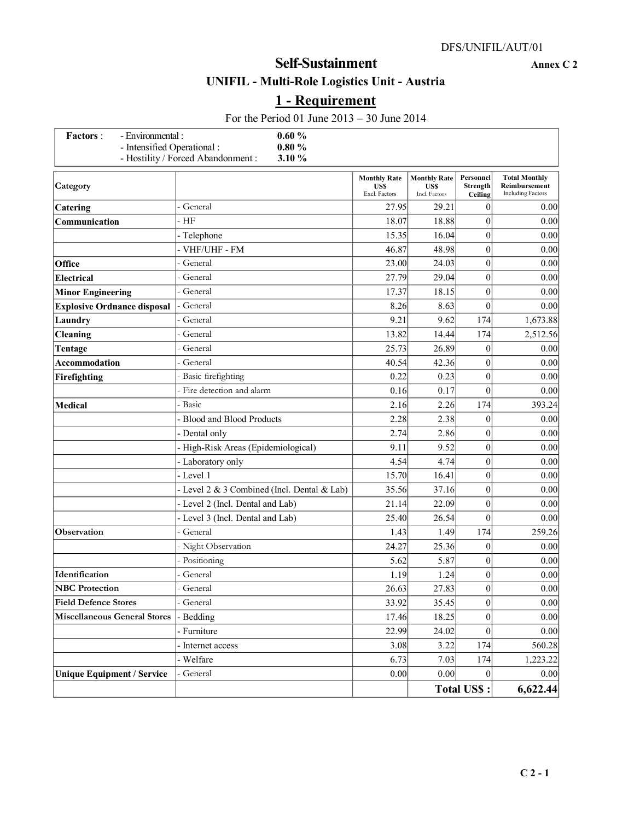# **UNIFIL - Multi-Role Logistics Unit - Austria**

# **1 - Requirement**

For the Period 01 June 2013 – 30 June 2014

| 0.60%<br>- Environmental :<br><b>Factors</b> :<br>- Intensified Operational:<br>$0.80 \%$ |                                              |                                              |                                                    |                                         |                                                                   |
|-------------------------------------------------------------------------------------------|----------------------------------------------|----------------------------------------------|----------------------------------------------------|-----------------------------------------|-------------------------------------------------------------------|
|                                                                                           | - Hostility / Forced Abandonment :<br>3.10 % |                                              |                                                    |                                         |                                                                   |
| Category                                                                                  |                                              | <b>Monthly Rate</b><br>US\$<br>Excl. Factors | <b>Monthly Rate</b><br><b>USS</b><br>Incl. Factors | Personnel<br><b>Strength</b><br>Ceiling | <b>Total Monthly</b><br>Reimbursement<br><b>Including Factors</b> |
| <b>Catering</b>                                                                           | General                                      | 27.95                                        | 29.21                                              | $\overline{0}$                          | 0.00                                                              |
| Communication                                                                             | HF                                           | 18.07                                        | 18.88                                              | $\mathbf{0}$                            | 0.00                                                              |
|                                                                                           | - Telephone                                  | 15.35                                        | 16.04                                              | $\overline{0}$                          | 0.00                                                              |
|                                                                                           | VHF/UHF - FM                                 | 46.87                                        | 48.98                                              | $\overline{0}$                          | 0.00                                                              |
| Office                                                                                    | General                                      | 23.00                                        | 24.03                                              | $\overline{0}$                          | 0.00                                                              |
| <b>Electrical</b>                                                                         | General                                      | 27.79                                        | 29.04                                              | $\mathbf{0}$                            | 0.00                                                              |
| <b>Minor Engineering</b>                                                                  | General                                      | 17.37                                        | 18.15                                              | $\mathbf{0}$                            | 0.00                                                              |
| <b>Explosive Ordnance disposal</b>                                                        | General                                      | 8.26                                         | 8.63                                               | $\mathbf{0}$                            | 0.00                                                              |
| Laundry                                                                                   | General                                      | 9.21                                         | 9.62                                               | 174                                     | 1,673.88                                                          |
| <b>Cleaning</b>                                                                           | General                                      | 13.82                                        | 14.44                                              | 174                                     | 2,512.56                                                          |
| Tentage                                                                                   | General                                      | 25.73                                        | 26.89                                              | 0                                       | 0.00                                                              |
| Accommodation                                                                             | General                                      | 40.54                                        | 42.36                                              | 0                                       | 0.00                                                              |
| Firefighting                                                                              | Basic firefighting                           | 0.22                                         | 0.23                                               | $\mathbf{0}$                            | 0.00                                                              |
|                                                                                           | Fire detection and alarm                     | 0.16                                         | 0.17                                               | $\overline{0}$                          | 0.00                                                              |
| <b>Medical</b>                                                                            | Basic                                        | 2.16                                         | 2.26                                               | 174                                     | 393.24                                                            |
|                                                                                           | <b>Blood and Blood Products</b>              | 2.28                                         | 2.38                                               | $\overline{0}$                          | 0.00                                                              |
|                                                                                           | Dental only                                  | 2.74                                         | 2.86                                               | $\overline{0}$                          | 0.00                                                              |
|                                                                                           | High-Risk Areas (Epidemiological)            | 9.11                                         | 9.52                                               | $\overline{0}$                          | 0.00                                                              |
|                                                                                           | Laboratory only                              | 4.54                                         | 4.74                                               | $\overline{0}$                          | 0.00                                                              |
|                                                                                           | Level 1                                      | 15.70                                        | 16.41                                              | $\mathbf{0}$                            | 0.00                                                              |
|                                                                                           | - Level 2 & 3 Combined (Incl. Dental & Lab)  | 35.56                                        | 37.16                                              | $\overline{0}$                          | 0.00                                                              |
|                                                                                           | Level 2 (Incl. Dental and Lab)               | 21.14                                        | 22.09                                              | $\boldsymbol{0}$                        | 0.00                                                              |
|                                                                                           | - Level 3 (Incl. Dental and Lab)             | 25.40                                        | 26.54                                              | $\theta$                                | 0.00                                                              |
| <b>Observation</b>                                                                        | General                                      | 1.43                                         | 1.49                                               | 174                                     | 259.26                                                            |
|                                                                                           | Night Observation                            | 24.27                                        | 25.36                                              | $\overline{0}$                          | 0.00                                                              |
|                                                                                           | Positioning                                  | 5.62                                         | 5.87                                               | $\overline{0}$                          | 0.00                                                              |
| Identification                                                                            | General                                      | 1.19                                         | 1.24                                               | $\mathbf{0}$                            | 0.00                                                              |
| <b>NBC</b> Protection                                                                     | General                                      | 26.63                                        | 27.83                                              | $\overline{0}$                          | $0.00\,$                                                          |
| <b>Field Defence Stores</b>                                                               | General                                      | 33.92                                        | 35.45                                              | $\boldsymbol{0}$                        | $0.00\,$                                                          |
| <b>Miscellaneous General Stores</b>                                                       | - Bedding                                    | 17.46                                        | 18.25                                              | $\overline{0}$                          | 0.00                                                              |
|                                                                                           | - Furniture                                  | 22.99                                        | 24.02                                              | $\overline{0}$                          | 0.00                                                              |
|                                                                                           | Internet access                              | 3.08                                         | 3.22                                               | 174                                     | 560.28                                                            |
|                                                                                           | Welfare                                      | 6.73                                         | 7.03                                               | 174                                     | 1,223.22                                                          |
| <b>Unique Equipment / Service</b>                                                         | General                                      | 0.00                                         | $0.00\,$                                           | $\overline{0}$                          | $0.00\,$                                                          |
|                                                                                           |                                              |                                              |                                                    | <b>Total US\$:</b>                      | 6,622.44                                                          |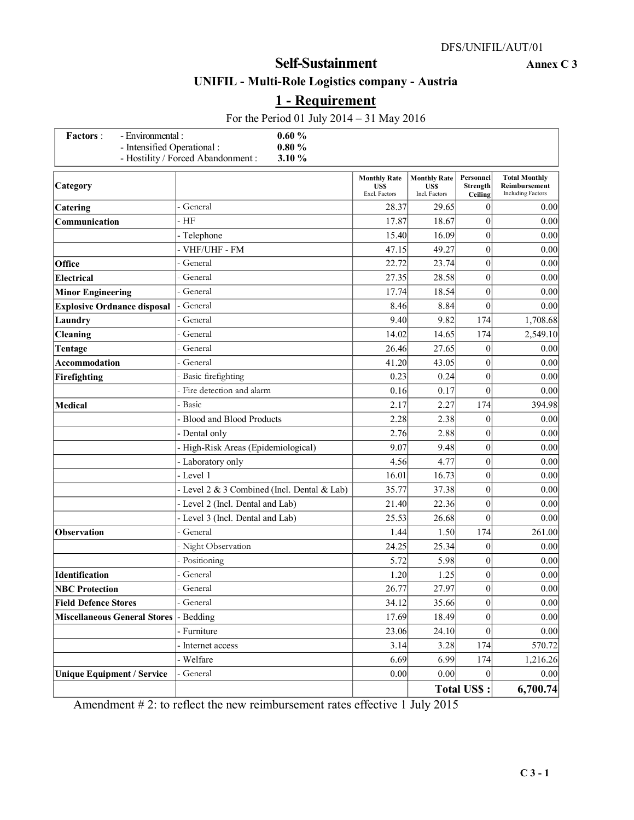# **UNIFIL - Multi-Role Logistics company - Austria**

# **1 - Requirement**

| 0.60%<br>- Environmental :<br><b>Factors</b> :<br>- Intensified Operational:<br>$0.80 \%$ |                                              |                                                    |                                                    |                                  |                                                                   |
|-------------------------------------------------------------------------------------------|----------------------------------------------|----------------------------------------------------|----------------------------------------------------|----------------------------------|-------------------------------------------------------------------|
|                                                                                           | - Hostility / Forced Abandonment :<br>3.10 % |                                                    |                                                    |                                  |                                                                   |
| Category                                                                                  |                                              | <b>Monthly Rate</b><br><b>USS</b><br>Excl. Factors | <b>Monthly Rate</b><br><b>USS</b><br>Incl. Factors | Personnel<br>Strength<br>Ceiling | <b>Total Monthly</b><br>Reimbursement<br><b>Including Factors</b> |
| Catering                                                                                  | General                                      | 28.37                                              | 29.65                                              | $\mathbf{0}$                     | 0.00                                                              |
| Communication                                                                             | HF                                           | 17.87                                              | 18.67                                              | $\overline{0}$                   | 0.00                                                              |
|                                                                                           | Telephone                                    | 15.40                                              | 16.09                                              | $\overline{0}$                   | 0.00                                                              |
|                                                                                           | - VHF/UHF - FM                               | 47.15                                              | 49.27                                              | $\mathbf{0}$                     | 0.00                                                              |
| Office                                                                                    | General                                      | 22.72                                              | 23.74                                              | $\overline{0}$                   | 0.00                                                              |
| <b>Electrical</b>                                                                         | General                                      | 27.35                                              | 28.58                                              | $\boldsymbol{0}$                 | 0.00                                                              |
| <b>Minor Engineering</b>                                                                  | General                                      | 17.74                                              | 18.54                                              | $\overline{0}$                   | 0.00                                                              |
| <b>Explosive Ordnance disposal</b>                                                        | General                                      | 8.46                                               | 8.84                                               | $\mathbf{0}$                     | 0.00                                                              |
| Laundry                                                                                   | General                                      | 9.40                                               | 9.82                                               | 174                              | 1,708.68                                                          |
| <b>Cleaning</b>                                                                           | General                                      | 14.02                                              | 14.65                                              | 174                              | 2,549.10                                                          |
| Tentage                                                                                   | General                                      | 26.46                                              | 27.65                                              | 0                                | 0.00                                                              |
| <b>Accommodation</b>                                                                      | General                                      | 41.20                                              | 43.05                                              | $\mathbf{0}$                     | 0.00                                                              |
| Firefighting                                                                              | Basic firefighting                           | 0.23                                               | 0.24                                               | $\mathbf{0}$                     | 0.00                                                              |
|                                                                                           | Fire detection and alarm                     | 0.16                                               | 0.17                                               | $\mathbf{0}$                     | 0.00                                                              |
| <b>Medical</b>                                                                            | Basic                                        | 2.17                                               | 2.27                                               | 174                              | 394.98                                                            |
|                                                                                           | <b>Blood and Blood Products</b>              | 2.28                                               | 2.38                                               | $\overline{0}$                   | 0.00                                                              |
|                                                                                           | Dental only                                  | 2.76                                               | 2.88                                               | $\overline{0}$                   | 0.00                                                              |
|                                                                                           | High-Risk Areas (Epidemiological)            | 9.07                                               | 9.48                                               | $\boldsymbol{0}$                 | 0.00                                                              |
|                                                                                           | Laboratory only                              | 4.56                                               | 4.77                                               | $\mathbf{0}$                     | 0.00                                                              |
|                                                                                           | - Level 1                                    | 16.01                                              | 16.73                                              | $\overline{0}$                   | 0.00                                                              |
|                                                                                           | Level 2 & 3 Combined (Incl. Dental & Lab)    | 35.77                                              | 37.38                                              | $\boldsymbol{0}$                 | 0.00                                                              |
|                                                                                           | - Level 2 (Incl. Dental and Lab)             | 21.40                                              | 22.36                                              | $\boldsymbol{0}$                 | 0.00                                                              |
|                                                                                           | Level 3 (Incl. Dental and Lab)               | 25.53                                              | 26.68                                              | $\mathbf{0}$                     | 0.00                                                              |
| Observation                                                                               | General                                      | 1.44                                               | 1.50                                               | 174                              | 261.00                                                            |
|                                                                                           | Night Observation                            | 24.25                                              | 25.34                                              | 0                                | 0.00                                                              |
|                                                                                           | Positioning                                  | 5.72                                               | 5.98                                               | $\mathbf{0}$                     | 0.00                                                              |
| Identification                                                                            | General                                      | 1.20                                               | 1.25                                               | $\boldsymbol{0}$                 | 0.00                                                              |
| <b>NBC</b> Protection                                                                     | General                                      | 26.77                                              | 27.97                                              | $\overline{0}$                   | 0.00                                                              |
| <b>Field Defence Stores</b>                                                               | General                                      | 34.12                                              | 35.66                                              | $\boldsymbol{0}$                 | 0.00                                                              |
| <b>Miscellaneous General Stores</b>                                                       | - Bedding                                    | 17.69                                              | 18.49                                              | $\boldsymbol{0}$                 | 0.00                                                              |
|                                                                                           | - Furniture                                  | 23.06                                              | 24.10                                              | $\boldsymbol{0}$                 | 0.00                                                              |
|                                                                                           | Internet access                              | 3.14                                               | 3.28                                               | 174                              | 570.72                                                            |
|                                                                                           | - Welfare                                    | 6.69                                               | 6.99                                               | 174                              | 1,216.26                                                          |
| <b>Unique Equipment / Service</b>                                                         | General                                      | 0.00                                               | 0.00                                               | $\theta$                         | 0.00                                                              |
|                                                                                           |                                              |                                                    |                                                    | <b>Total US\$:</b>               | 6,700.74                                                          |

Amendment # 2: to reflect the new reimbursement rates effective 1 July 2015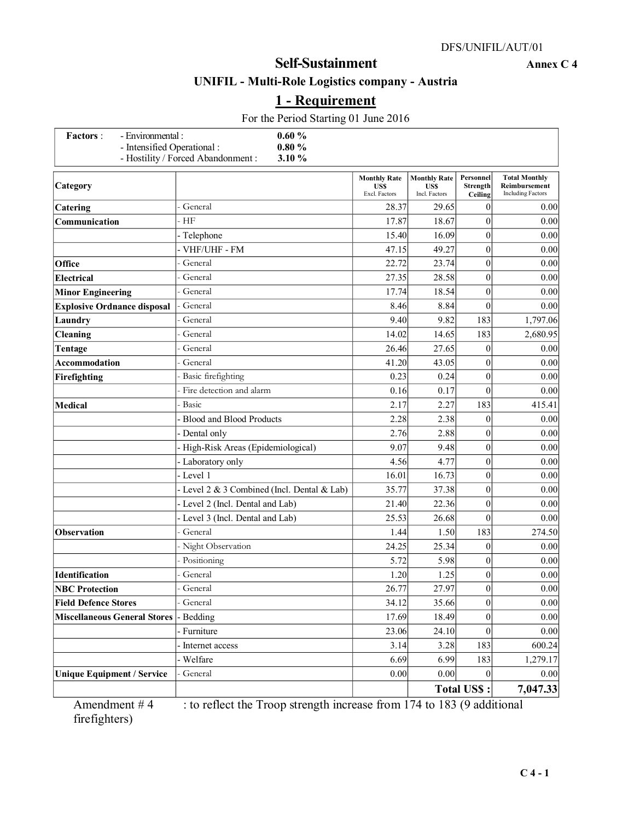### **UNIFIL - Multi-Role Logistics company - Austria**

# **1 - Requirement**

For the Period Starting 01 June 2016

| - Environmental :<br><b>Factors</b> :<br>- Intensified Operational: | 0.60%<br>$0.80\ \%$                       |                                              |                                                    |                                  |                                                                   |
|---------------------------------------------------------------------|-------------------------------------------|----------------------------------------------|----------------------------------------------------|----------------------------------|-------------------------------------------------------------------|
| - Hostility / Forced Abandonment :<br>3.10 %                        |                                           |                                              |                                                    |                                  |                                                                   |
| Category                                                            |                                           | <b>Monthly Rate</b><br>US\$<br>Excl. Factors | <b>Monthly Rate</b><br><b>USS</b><br>Incl. Factors | Personnel<br>Strength<br>Ceiling | <b>Total Monthly</b><br>Reimbursement<br><b>Including Factors</b> |
| Catering                                                            | General                                   | 28.37                                        | 29.65                                              | $\mathbf{0}$                     | 0.00                                                              |
| Communication                                                       | HF                                        | 17.87                                        | 18.67                                              | $\overline{0}$                   | 0.00                                                              |
|                                                                     | - Telephone                               | 15.40                                        | 16.09                                              | $\overline{0}$                   | 0.00                                                              |
|                                                                     | VHF/UHF - FM                              | 47.15                                        | 49.27                                              | $\overline{0}$                   | 0.00                                                              |
| Office                                                              | General                                   | 22.72                                        | 23.74                                              | $\mathbf{0}$                     | 0.00                                                              |
| <b>Electrical</b>                                                   | General                                   | 27.35                                        | 28.58                                              | $\boldsymbol{0}$                 | 0.00                                                              |
| <b>Minor Engineering</b>                                            | General                                   | 17.74                                        | 18.54                                              | $\boldsymbol{0}$                 | 0.00                                                              |
| <b>Explosive Ordnance disposal</b>                                  | General                                   | 8.46                                         | 8.84                                               | $\overline{0}$                   | 0.00                                                              |
| Laundry                                                             | General                                   | 9.40                                         | 9.82                                               | 183                              | 1,797.06                                                          |
| Cleaning                                                            | General                                   | 14.02                                        | 14.65                                              | 183                              | 2,680.95                                                          |
| Tentage                                                             | General                                   | 26.46                                        | 27.65                                              | $\overline{0}$                   | 0.00                                                              |
| <b>Accommodation</b>                                                | General                                   | 41.20                                        | 43.05                                              | $\overline{0}$                   | 0.00                                                              |
| Firefighting                                                        | Basic firefighting                        | 0.23                                         | 0.24                                               | $\mathbf{0}$                     | 0.00                                                              |
|                                                                     | Fire detection and alarm                  | 0.16                                         | 0.17                                               | $\theta$                         | 0.00                                                              |
| <b>Medical</b>                                                      | Basic                                     | 2.17                                         | 2.27                                               | 183                              | 415.41                                                            |
|                                                                     | <b>Blood and Blood Products</b>           | 2.28                                         | 2.38                                               | $\overline{0}$                   | 0.00                                                              |
|                                                                     | Dental only                               | 2.76                                         | 2.88                                               | $\overline{0}$                   | 0.00                                                              |
|                                                                     | High-Risk Areas (Epidemiological)         | 9.07                                         | 9.48                                               | $\overline{0}$                   | 0.00                                                              |
|                                                                     | Laboratory only                           | 4.56                                         | 4.77                                               | $\mathbf{0}$                     | 0.00                                                              |
|                                                                     | Level 1                                   | 16.01                                        | 16.73                                              | $\mathbf{0}$                     | 0.00                                                              |
|                                                                     | Level 2 & 3 Combined (Incl. Dental & Lab) | 35.77                                        | 37.38                                              | $\mathbf{0}$                     | 0.00                                                              |
|                                                                     | Level 2 (Incl. Dental and Lab)            | 21.40                                        | 22.36                                              | $\overline{0}$                   | 0.00                                                              |
|                                                                     | Level 3 (Incl. Dental and Lab)            | 25.53                                        | 26.68                                              | $\theta$                         | 0.00                                                              |
| <b>Observation</b>                                                  | General                                   | 1.44                                         | 1.50                                               | 183                              | 274.50                                                            |
|                                                                     | Night Observation                         | 24.25                                        | 25.34                                              | 0                                | 0.00                                                              |
|                                                                     | Positioning                               | 5.72                                         | 5.98                                               | $\overline{0}$                   | 0.00                                                              |
| Identification                                                      | General                                   | 1.20                                         | 1.25                                               | $\boldsymbol{0}$                 | 0.00                                                              |
| <b>NBC Protection</b>                                               | General                                   | 26.77                                        | 27.97                                              | $\overline{0}$                   | 0.00                                                              |
| <b>Field Defence Stores</b>                                         | General                                   | 34.12                                        | 35.66                                              | $\boldsymbol{0}$                 | 0.00                                                              |
| <b>Miscellaneous General Stores</b>                                 | - Bedding                                 | 17.69                                        | 18.49                                              | $\boldsymbol{0}$                 | 0.00                                                              |
|                                                                     | Furniture                                 | 23.06                                        | 24.10                                              | $\boldsymbol{0}$                 | 0.00                                                              |
|                                                                     | Internet access                           | 3.14                                         | 3.28                                               | 183                              | 600.24                                                            |
|                                                                     | Welfare                                   | 6.69                                         | 6.99                                               | 183                              | 1,279.17                                                          |
| <b>Unique Equipment / Service</b>                                   | General                                   | 0.00                                         | 0.00                                               | $\Omega$                         | 0.00                                                              |
|                                                                     |                                           |                                              |                                                    | <b>Total US\$:</b>               | 7,047.33                                                          |

Amendment  $# 4$  : to reflect the Troop strength increase from 174 to 183 (9 additional firefighters)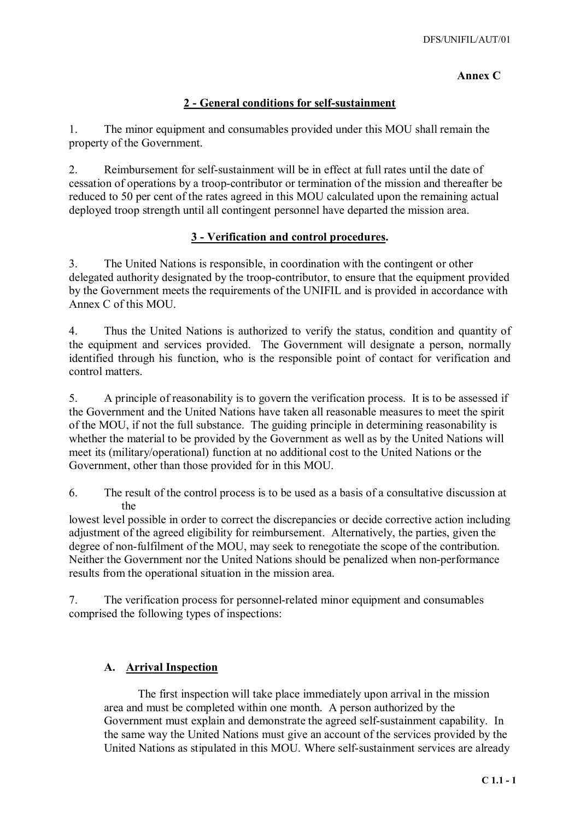## **Annex C**

## **2 - General conditions for self-sustainment**

1. The minor equipment and consumables provided under this MOU shall remain the property of the Government.

2. Reimbursement for self-sustainment will be in effect at full rates until the date of cessation of operations by a troop-contributor or termination of the mission and thereafter be reduced to 50 per cent of the rates agreed in this MOU calculated upon the remaining actual deployed troop strength until all contingent personnel have departed the mission area.

### **3 - Verification and control procedures.**

3. The United Nations is responsible, in coordination with the contingent or other delegated authority designated by the troop-contributor, to ensure that the equipment provided by the Government meets the requirements of the UNIFIL and is provided in accordance with Annex C of this MOU.

4. Thus the United Nations is authorized to verify the status, condition and quantity of the equipment and services provided. The Government will designate a person, normally identified through his function, who is the responsible point of contact for verification and control matters.

5. A principle of reasonability is to govern the verification process. It is to be assessed if the Government and the United Nations have taken all reasonable measures to meet the spirit of the MOU, if not the full substance. The guiding principle in determining reasonability is whether the material to be provided by the Government as well as by the United Nations will meet its (military/operational) function at no additional cost to the United Nations or the Government, other than those provided for in this MOU.

6. The result of the control process is to be used as a basis of a consultative discussion at the

lowest level possible in order to correct the discrepancies or decide corrective action including adjustment of the agreed eligibility for reimbursement. Alternatively, the parties, given the degree of non-fulfilment of the MOU, may seek to renegotiate the scope of the contribution. Neither the Government nor the United Nations should be penalized when non-performance results from the operational situation in the mission area.

7. The verification process for personnel-related minor equipment and consumables comprised the following types of inspections:

### **A. Arrival Inspection**

 The first inspection will take place immediately upon arrival in the mission area and must be completed within one month. A person authorized by the Government must explain and demonstrate the agreed self-sustainment capability. In the same way the United Nations must give an account of the services provided by the United Nations as stipulated in this MOU. Where self-sustainment services are already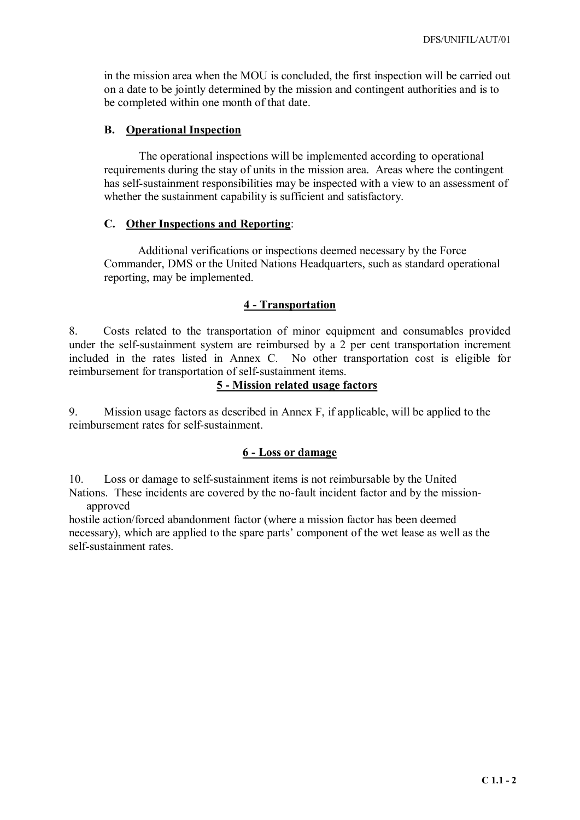in the mission area when the MOU is concluded, the first inspection will be carried out on a date to be jointly determined by the mission and contingent authorities and is to be completed within one month of that date.

#### **B. Operational Inspection**

The operational inspections will be implemented according to operational requirements during the stay of units in the mission area. Areas where the contingent has self-sustainment responsibilities may be inspected with a view to an assessment of whether the sustainment capability is sufficient and satisfactory.

#### **C. Other Inspections and Reporting**:

Additional verifications or inspections deemed necessary by the Force Commander, DMS or the United Nations Headquarters, such as standard operational reporting, may be implemented.

#### **4 - Transportation**

8. Costs related to the transportation of minor equipment and consumables provided under the self-sustainment system are reimbursed by a 2 per cent transportation increment included in the rates listed in Annex C. No other transportation cost is eligible for reimbursement for transportation of self-sustainment items.

#### **5 - Mission related usage factors**

9. Mission usage factors as described in Annex F, if applicable, will be applied to the reimbursement rates for self-sustainment.

#### **6 - Loss or damage**

10. Loss or damage to self-sustainment items is not reimbursable by the United

Nations. These incidents are covered by the no-fault incident factor and by the missionapproved

hostile action/forced abandonment factor (where a mission factor has been deemed necessary), which are applied to the spare parts' component of the wet lease as well as the self-sustainment rates.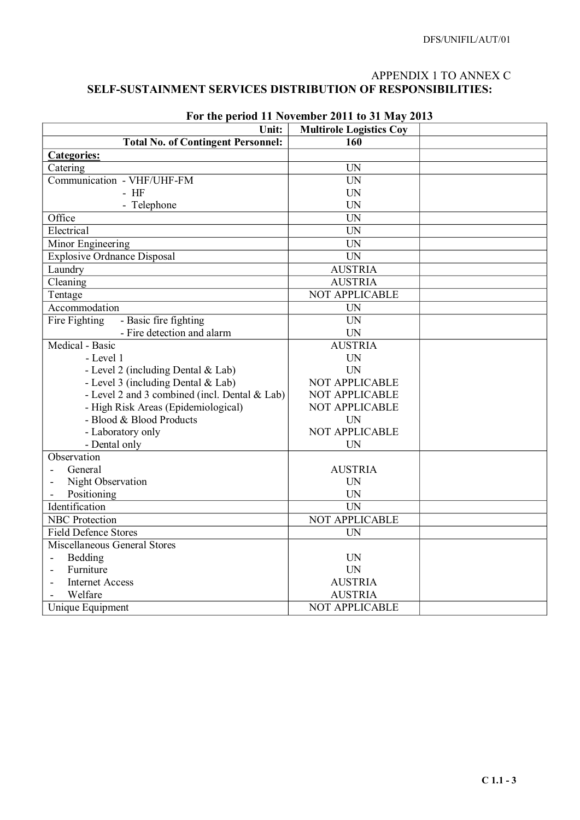## APPENDIX 1 TO ANNEX C **SELF-SUSTAINMENT SERVICES DISTRIBUTION OF RESPONSIBILITIES:**

| Unit:                                         | <b>Multirole Logistics Coy</b> |  |
|-----------------------------------------------|--------------------------------|--|
| <b>Total No. of Contingent Personnel:</b>     | 160                            |  |
| <b>Categories:</b>                            |                                |  |
| Catering                                      | <b>UN</b>                      |  |
| Communication - VHF/UHF-FM                    | <b>UN</b>                      |  |
| $-$ HF                                        | <b>UN</b>                      |  |
| - Telephone                                   | <b>UN</b>                      |  |
| Office                                        | <b>UN</b>                      |  |
| Electrical                                    | $\overline{UN}$                |  |
| Minor Engineering                             | UN                             |  |
| <b>Explosive Ordnance Disposal</b>            | <b>UN</b>                      |  |
| Laundry                                       | <b>AUSTRIA</b>                 |  |
| Cleaning                                      | <b>AUSTRIA</b>                 |  |
| Tentage                                       | <b>NOT APPLICABLE</b>          |  |
| Accommodation                                 | <b>UN</b>                      |  |
| - Basic fire fighting<br>Fire Fighting        | <b>UN</b>                      |  |
| - Fire detection and alarm                    | <b>UN</b>                      |  |
| Medical - Basic                               | <b>AUSTRIA</b>                 |  |
| - Level 1                                     | <b>UN</b>                      |  |
| - Level 2 (including Dental & Lab)            | <b>UN</b>                      |  |
| - Level 3 (including Dental & Lab)            | NOT APPLICABLE                 |  |
| - Level 2 and 3 combined (incl. Dental & Lab) | NOT APPLICABLE                 |  |
| - High Risk Areas (Epidemiological)           | NOT APPLICABLE                 |  |
| - Blood & Blood Products                      | <b>UN</b>                      |  |
| - Laboratory only                             | NOT APPLICABLE                 |  |
| - Dental only                                 | <b>UN</b>                      |  |
| Observation                                   |                                |  |
| General                                       | <b>AUSTRIA</b>                 |  |
| Night Observation                             | <b>UN</b>                      |  |
| Positioning                                   | <b>UN</b>                      |  |
| Identification                                | $\overline{UN}$                |  |
| <b>NBC</b> Protection                         | NOT APPLICABLE                 |  |
| <b>Field Defence Stores</b>                   | <b>UN</b>                      |  |
| Miscellaneous General Stores                  |                                |  |
| Bedding                                       | UN                             |  |
| Furniture                                     | <b>UN</b>                      |  |
| <b>Internet Access</b>                        | <b>AUSTRIA</b>                 |  |
| Welfare                                       | <b>AUSTRIA</b>                 |  |
| Unique Equipment                              | <b>NOT APPLICABLE</b>          |  |

# **For the period 11 November 2011 to 31 May 2013**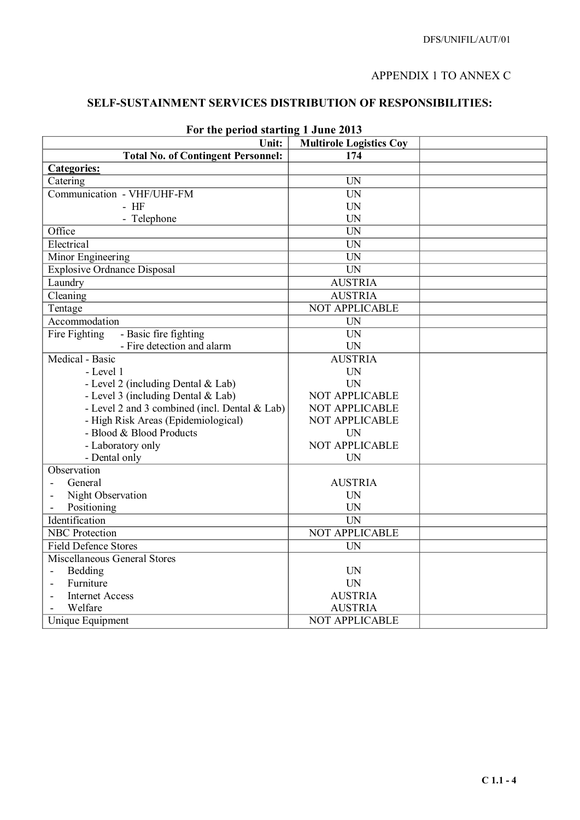## APPENDIX 1 TO ANNEX C

## **SELF-SUSTAINMENT SERVICES DISTRIBUTION OF RESPONSIBILITIES:**

| Ful the period starting I bune 2015           |                                |  |
|-----------------------------------------------|--------------------------------|--|
| Unit:                                         | <b>Multirole Logistics Coy</b> |  |
| <b>Total No. of Contingent Personnel:</b>     | 174                            |  |
| <b>Categories:</b>                            |                                |  |
| Catering                                      | <b>UN</b>                      |  |
| Communication - VHF/UHF-FM                    | <b>UN</b>                      |  |
| $-$ HF                                        | <b>UN</b>                      |  |
| - Telephone                                   | <b>UN</b>                      |  |
| Office                                        | $\overline{\text{UN}}$         |  |
| Electrical                                    | UN                             |  |
| Minor Engineering                             | UN                             |  |
| <b>Explosive Ordnance Disposal</b>            | <b>UN</b>                      |  |
| Laundry                                       | <b>AUSTRIA</b>                 |  |
| Cleaning                                      | <b>AUSTRIA</b>                 |  |
| Tentage                                       | NOT APPLICABLE                 |  |
| Accommodation                                 | <b>UN</b>                      |  |
| Fire Fighting<br>- Basic fire fighting        | $\overline{UN}$                |  |
| - Fire detection and alarm                    | <b>UN</b>                      |  |
| Medical - Basic                               | <b>AUSTRIA</b>                 |  |
| - Level 1                                     | <b>UN</b>                      |  |
| - Level 2 (including Dental & Lab)            | <b>UN</b>                      |  |
| - Level 3 (including Dental & Lab)            | <b>NOT APPLICABLE</b>          |  |
| - Level 2 and 3 combined (incl. Dental & Lab) | <b>NOT APPLICABLE</b>          |  |
| - High Risk Areas (Epidemiological)           | NOT APPLICABLE                 |  |
| - Blood & Blood Products                      | <b>UN</b>                      |  |
| - Laboratory only                             | NOT APPLICABLE                 |  |
| - Dental only                                 | UN                             |  |
| Observation                                   |                                |  |
| General                                       | <b>AUSTRIA</b>                 |  |
| Night Observation                             | <b>UN</b>                      |  |
| Positioning                                   | <b>UN</b>                      |  |
| Identification                                | $\overline{UN}$                |  |
| <b>NBC</b> Protection                         | <b>NOT APPLICABLE</b>          |  |
| <b>Field Defence Stores</b>                   | UN                             |  |
| Miscellaneous General Stores                  |                                |  |
| Bedding<br>$\blacksquare$                     | <b>UN</b>                      |  |
| Furniture                                     | <b>UN</b>                      |  |
| <b>Internet Access</b>                        | <b>AUSTRIA</b>                 |  |
| Welfare                                       | <b>AUSTRIA</b>                 |  |
| Unique Equipment                              | NOT APPLICABLE                 |  |

### **For the period starting 1 June 2013**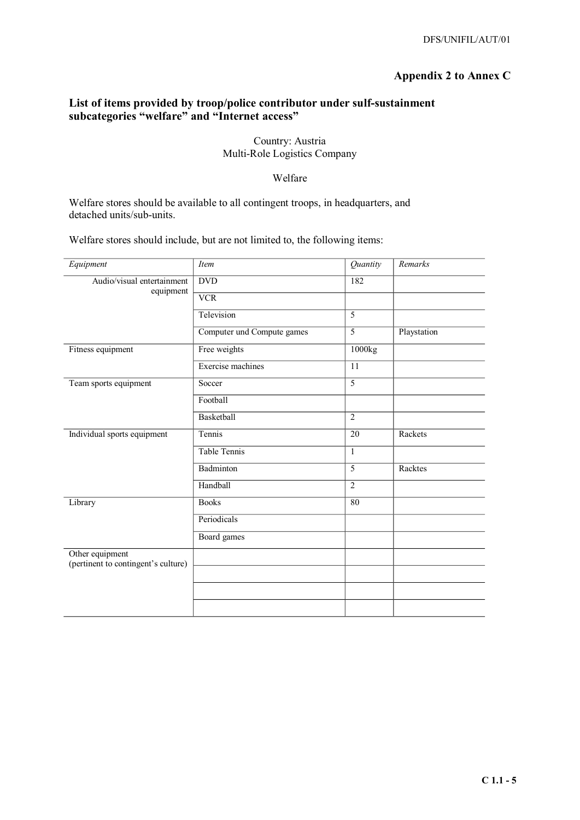## **Appendix 2 to Annex C**

### **List of items provided by troop/police contributor under sulf-sustainment subcategories "welfare" and "Internet access"**

#### Country: Austria Multi-Role Logistics Company

#### Welfare

Welfare stores should be available to all contingent troops, in headquarters, and detached units/sub-units.

Welfare stores should include, but are not limited to, the following items:

| <b>Item</b>                | Quantity       | Remarks     |
|----------------------------|----------------|-------------|
| <b>DVD</b>                 | 182            |             |
| <b>VCR</b>                 |                |             |
| Television                 | 5              |             |
| Computer und Compute games | $\overline{5}$ | Playstation |
| Free weights               | 1000kg         |             |
| Exercise machines          | 11             |             |
| Soccer                     | $\overline{5}$ |             |
| Football                   |                |             |
| Basketball                 | $\overline{2}$ |             |
| Tennis                     | 20             | Rackets     |
| <b>Table Tennis</b>        | $\mathbf{1}$   |             |
| Badminton                  | $\overline{5}$ | Racktes     |
| Handball                   | $\overline{2}$ |             |
| <b>Books</b>               | 80             |             |
| Periodicals                |                |             |
| Board games                |                |             |
|                            |                |             |
|                            |                |             |
|                            |                |             |
|                            |                |             |
|                            |                |             |